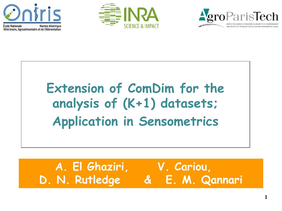







**A. El Ghaziri, V. Cariou, D. N. Rutledge & E. M. Qannari**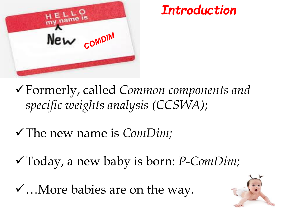

### *Introduction*

Formerly, called *Common components and specific weights analysis (CCSWA)*;

The new name is *ComDim;*

Today, a new baby is born: *P-ComDim;*

…More babies are on the way*.*

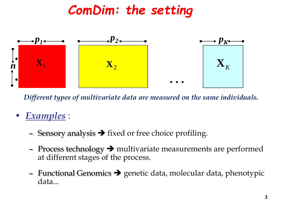## *ComDim: the setting*



*Different types of multivariate data are measured on the same individuals.*

- *Examples* :
	- Sensory analysis  $\rightarrow$  fixed or free choice profiling.
	- Process technology  $\rightarrow$  multivariate measurements are performed at different stages of the process.
	- Functional Genomics  $\rightarrow$  genetic data, molecular data, phenotypic data...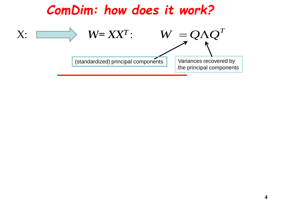### *ComDim: how does it work?*

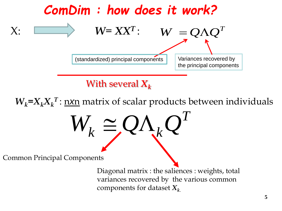

With several *Xk*

*T*  $W_k \cong Q\Lambda_k Q$  $W_k$ = $X_k X_k$ <sup>*T*</sup> : <u>n*x*n</u> matrix of scalar products between individuals Common Principal Components

> Diagonal matrix : the saliences : weights, total variances recovered by the various common components for dataset *X<sup>k</sup>*.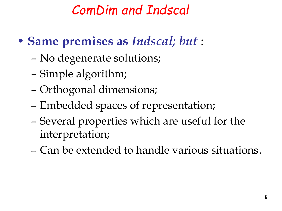# *ComDim and Indscal*

- **Same premises as** *Indscal; but* :
	- No degenerate solutions;
	- Simple algorithm;
	- Orthogonal dimensions;
	- Embedded spaces of representation;
	- Several properties which are useful for the interpretation;
	- Can be extended to handle various situations.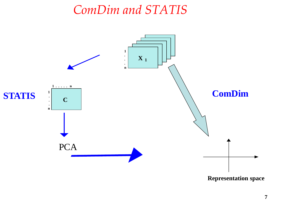#### *ComDim and STATIS*

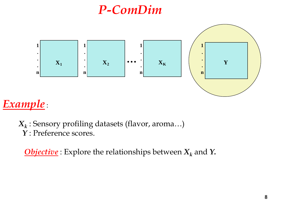### *P-ComDim*



#### *Example* :

*Xk* : Sensory profiling datasets (flavor, aroma…) *Y* : Preference scores.

*Objective* : Explore the relationships between *X<sup>k</sup>* and *Y.*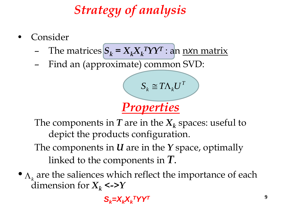# *Strategy of analysis*

- **Consider** 
	- The matrices  $S_k = X_k X_k^T Y Y^T$  : an <u>nxn matrix</u>
	- Find an (approximate) common SVD:

$$
S_k \cong T\Lambda_k U^T
$$
  
**Properties**

The components in  $T$  are in the  $X_k$  spaces: useful to depict the products configuration.

The components in *U* are in the *Y* space, optimally linked to the components in *T*.  $S_k \cong T\Lambda_k U^T$ <br>The components in *T* are in the  $X_k$  sp<br>depict the products configuration<br>The components in *U* are in the *Y* sp<br>linked to the components in *T*.<br>are the saliences which reflect the in<br>dimension for  $X_k \le$ 

 $\bullet$   $\Lambda_k$  are the saliences which reflect the importance of each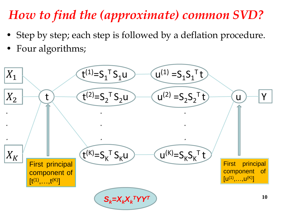## *How to find the (approximate) common SVD?*

- Step by step; each step is followed by a deflation procedure.
- Four algorithms;

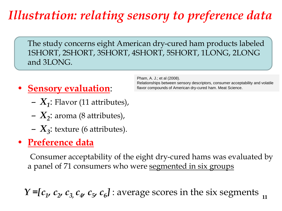## *Illustration: relating sensory to preference data*

The study concerns eight American dry-cured ham products labeled 1SHORT, 2SHORT, 3SHORT, 4SHORT, 5SHORT, 1LONG, 2LONG and 3LONG.

- **Sensory evaluation**:
	- *X<sup>1</sup>* : Flavor (11 attributes),
	- *X<sup>2</sup>* : aroma (8 attributes),
	- *X<sup>3</sup>* : texture (6 attributes).

#### • **Preference data**

Consumer acceptability of the eight dry-cured hams was evaluated by a panel of 71 consumers who were segmented in six groups

**11**  $Y = [c_1, c_2, c_3, c_4, c_5, c_6]$  : average scores in the six segments  $\frac{11}{11}$ 

Pham, A. J.; et al (2008). Relationships between sensory descriptors, consumer acceptability and volatile flavor compounds of American dry-cured ham. Meat Science.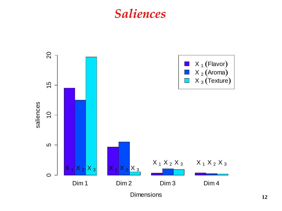#### *Saliences*

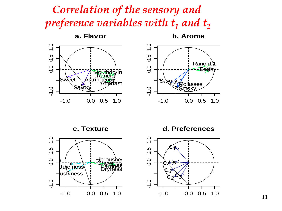



**c. Texture**  $\frac{0}{1}$ -1.0 0.0 0.5 1.0  $0.\overline{5}$ Fibrousnes  $\overline{0}$ . Chewines **Jiciness** Hardness<br>Dryness ushiness  $-1.0$ -1.0 0.0 0.5 1.0

**d. Preferences**

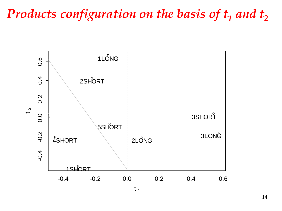## *Products configuration on the basis of t<sub>1</sub> and t<sub>2</sub>*

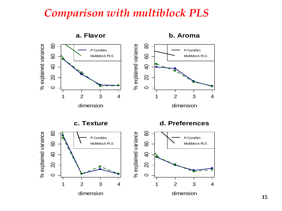#### *Comparison with multiblock PLS*



dimension

dimension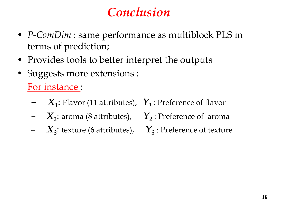## *Conclusion*

- *P-ComDim* : same performance as multiblock PLS in terms of prediction;
- Provides tools to better interpret the outputs
- Suggests more extensions :

For instance :

- *X<sup>1</sup>* : Flavor (11 attributes), *Y<sup>1</sup>* : Preference of flavor
- *X<sup>2</sup>* : aroma (8 attributes), *Y<sup>2</sup>* : Preference of aroma
- *X<sup>3</sup>* : texture (6 attributes), *Y<sup>3</sup>* : Preference of texture
- -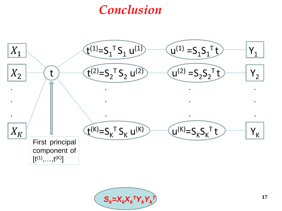#### *Conclusion*